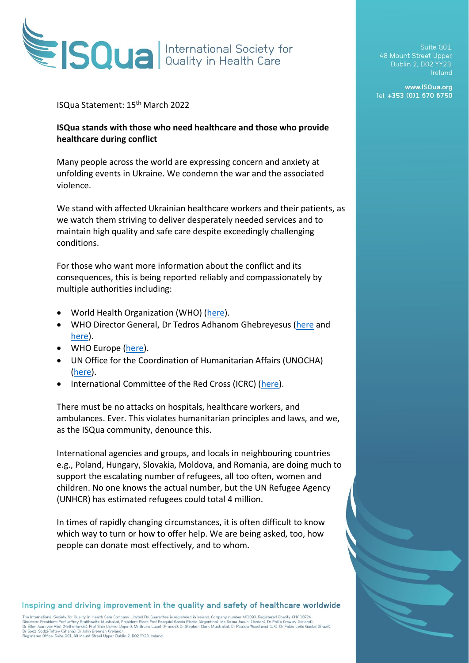

## ISQua Statement: 15th March 2022

## **ISQua stands with those who need healthcare and those who provide healthcare during conflict**

Many people across the world are expressing concern and anxiety at unfolding events in Ukraine. We condemn the war and the associated violence.

We stand with affected Ukrainian healthcare workers and their patients, as we watch them striving to deliver desperately needed services and to maintain high quality and safe care despite exceedingly challenging conditions.

For those who want more information about the conflict and its consequences, this is being reported reliably and compassionately by multiple authorities including:

- World Health Organization (WHO) [\(here\)](https://334458.depotstreetmail.com/email/click/24348099/334458/3rMYib9FU8jQ0R9-UgMCDcEq_AzseYV3LQLP4F0S3pU.2).
- WHO Director General, Dr Tedros Adhanom Ghebreyesus [\(here](https://334458.depotstreetmail.com/email/click/24348103/334458/ZtiXVWfwq8pSjvZNCo5tUPvCQ_35BeRarv16UGUsRLE.2) and [here\)](https://334458.depotstreetmail.com/email/click/24348107/334458/lNwFqVoab2oIYnnEuPasfHT17DEMpfy1uHEDZ6TIT2g.2).
- WHO Europe [\(here\)](https://334458.depotstreetmail.com/email/click/24348111/334458/pb5ThQNMuGpKEP-vbPwdK__OgDnLn4r-4xYCZC_vzaA.2).
- UN Office for the Coordination of Humanitarian Affairs (UNOCHA) [\(here\)](https://334458.depotstreetmail.com/email/click/24348115/334458/za_Ub9UgJc-gBwmG87Ss1mmmHesxv9v_bKubSprinlE.2).
- International Committee of the Red Cross (ICRC) [\(here\)](https://334458.depotstreetmail.com/email/click/24348119/334458/0_3whBd0R4kYHGnSFwsOooIBnqmRyLNV4Z21G_XFjKQ.2).

There must be no attacks on hospitals, healthcare workers, and ambulances. Ever. This violates humanitarian principles and laws, and we, as the ISQua community, denounce this.

International agencies and groups, and locals in neighbouring countries e.g., Poland, Hungary, Slovakia, Moldova, and Romania, are doing much to support the escalating number of refugees, all too often, women and children. No one knows the actual number, but the UN Refugee Agency (UNHCR) has estimated refugees could total 4 million.

In times of rapidly changing circumstances, it is often difficult to know which way to turn or how to offer help. We are being asked, too, how people can donate most effectively, and to whom.

Inspiring and driving improvement in the quality and safety of healthcare worldwide

The International Society for Quality in Health Care Company Limited By Guarantee is registered in Ireland, Company number 461093. Registered Charity CHY 18724.<br>Directors: President: Prof Jeffrey Braithwaite (Australia). P

Suite G01. 48 Mount Street Upper. Ireland

www.ISQua.org Tel: +353 (0)1 670 6750